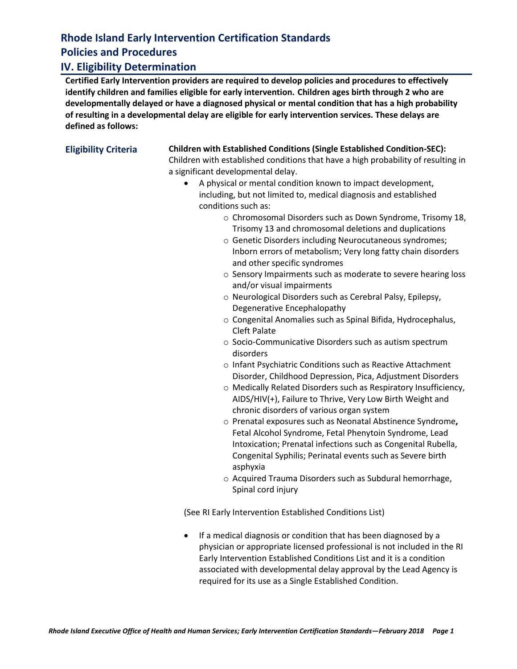## **Rhode Island Early Intervention Certification Standards Policies and Procedures**

## **IV. Eligibility Determination**

**Certified Early Intervention providers are required to develop policies and procedures to effectively identify children and families eligible for early intervention. Children ages birth through 2 who are developmentally delayed or have a diagnosed physical or mental condition that has a high probability of resulting in a developmental delay are eligible for early intervention services. These delays are defined as follows:**

### **Eligibility Criteria Children with Established Conditions (Single Established Condition-SEC):**

Children with established conditions that have a high probability of resulting in a significant developmental delay.

- A physical or mental condition known to impact development, including, but not limited to, medical diagnosis and established conditions such as:
	- o Chromosomal Disorders such as Down Syndrome, Trisomy 18, Trisomy 13 and chromosomal deletions and duplications
	- o Genetic Disorders including Neurocutaneous syndromes; Inborn errors of metabolism; Very long fatty chain disorders and other specific syndromes
	- o Sensory Impairments such as moderate to severe hearing loss and/or visual impairments
	- o Neurological Disorders such as Cerebral Palsy, Epilepsy, Degenerative Encephalopathy
	- o Congenital Anomalies such as Spinal Bifida, Hydrocephalus, Cleft Palate
	- o Socio-Communicative Disorders such as autism spectrum disorders
	- o Infant Psychiatric Conditions such as Reactive Attachment Disorder, Childhood Depression, Pica, Adjustment Disorders
	- o Medically Related Disorders such as Respiratory Insufficiency, AIDS/HIV(+), Failure to Thrive, Very Low Birth Weight and chronic disorders of various organ system
	- o Prenatal exposures such as Neonatal Abstinence Syndrome**,** Fetal Alcohol Syndrome, Fetal Phenytoin Syndrome, Lead Intoxication; Prenatal infections such as Congenital Rubella, Congenital Syphilis; Perinatal events such as Severe birth asphyxia
	- o Acquired Trauma Disorders such as Subdural hemorrhage, Spinal cord injury

(See RI Early Intervention Established Conditions List)

• If a medical diagnosis or condition that has been diagnosed by a physician or appropriate licensed professional is not included in the RI Early Intervention Established Conditions List and it is a condition associated with developmental delay approval by the Lead Agency is required for its use as a Single Established Condition.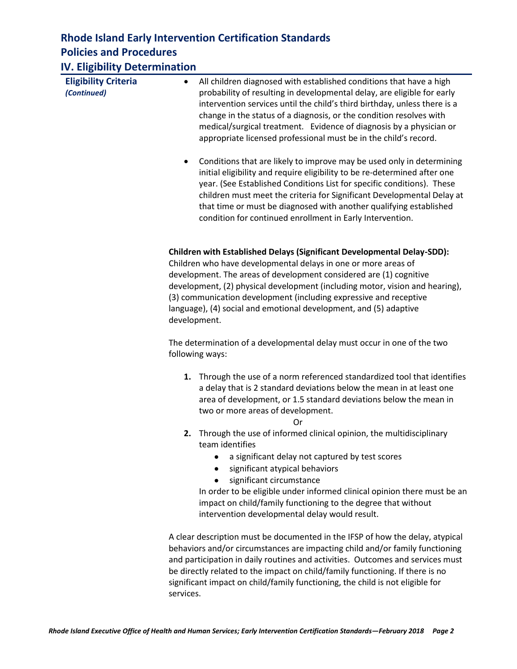## **Rhode Island Early Intervention Certification Standards Policies and Procedures**

| <b>IV. Eligibility Determination</b> |   |
|--------------------------------------|---|
|                                      | . |

| <b>Eligibility Criteria</b><br>(Continued) | All children diagnosed with established conditions that have a high<br>٠<br>probability of resulting in developmental delay, are eligible for early<br>intervention services until the child's third birthday, unless there is a<br>change in the status of a diagnosis, or the condition resolves with<br>medical/surgical treatment. Evidence of diagnosis by a physician or<br>appropriate licensed professional must be in the child's record.        |  |  |
|--------------------------------------------|-----------------------------------------------------------------------------------------------------------------------------------------------------------------------------------------------------------------------------------------------------------------------------------------------------------------------------------------------------------------------------------------------------------------------------------------------------------|--|--|
|                                            | Conditions that are likely to improve may be used only in determining<br>$\bullet$<br>initial eligibility and require eligibility to be re-determined after one<br>year. (See Established Conditions List for specific conditions). These<br>children must meet the criteria for Significant Developmental Delay at<br>that time or must be diagnosed with another qualifying established<br>condition for continued enrollment in Early Intervention.    |  |  |
|                                            | Children with Established Delays (Significant Developmental Delay-SDD):<br>Children who have developmental delays in one or more areas of<br>development. The areas of development considered are (1) cognitive<br>development, (2) physical development (including motor, vision and hearing),<br>(3) communication development (including expressive and receptive<br>language), (4) social and emotional development, and (5) adaptive<br>development. |  |  |
|                                            | The determination of a developmental delay must occur in one of the two<br>following ways:                                                                                                                                                                                                                                                                                                                                                                |  |  |
|                                            | 1. Through the use of a norm referenced standardized tool that identifies<br>a delay that is 2 standard deviations below the mean in at least one<br>area of development, or 1.5 standard deviations below the mean in<br>two or more areas of development.<br>Or                                                                                                                                                                                         |  |  |
|                                            | 2. Through the use of informed clinical opinion, the multidisciplinary<br>team identifies<br>a significant delay not captured by test scores<br>significant atypical behaviors<br>significant circumstance<br>In order to be eligible under informed clinical opinion there must be an<br>impact on child/family functioning to the degree that without<br>intervention developmental delay would result.                                                 |  |  |
|                                            | A clear description must be documented in the IFSP of how the delay, atypical<br>behaviors and/or circumstances are impacting child and/or family functioning<br>and participation in daily routines and activities. Outcomes and services must                                                                                                                                                                                                           |  |  |